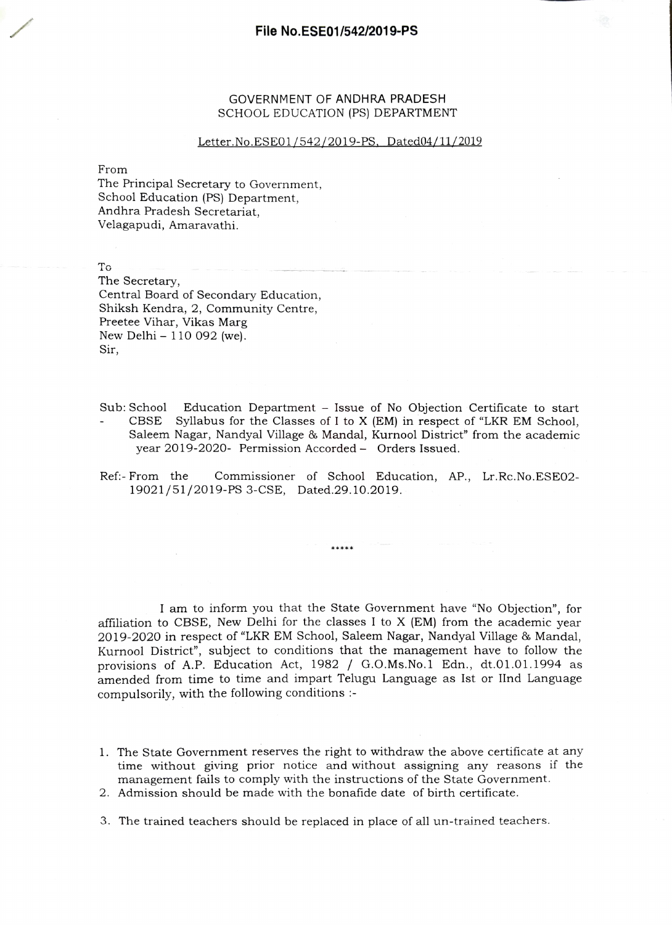## GOVERNMENT OF ANDHRA PRADESH SCHOOL EDUCATION (PS) DEPARTMENT

## Letter No ESEO1/542/2019-PS, Dated04/11/2019

From

The Principal Secretary to Government, School Education (PS) Department, Andhra Pradesh Secretariat, Velagapudi, Amaravathi.

To

The Secretary, Central Board of Secondary Education, Shiksh Kendra, 2, Community Centre, Preetee Vihar, Vikas Marg New Delhi  $-110092$  (we). Sir,

Sub: School Education Department - Issue of No Objection Certificate to start CBSE Syllabus for the Classes of I to X (EM) in respect of "LKR EM School, Saleem Nagar, Nandyal Village & Mandal, Kurnool District" from the academic year 2019-2020- Permission Accorded - Orders Issued.

Ref:- From the Commissioner of School Education, AP., Lr.Rc.No.ESE02- 19021/51/2019-PS 3-CSE, Dated.29.10.2019.

\*\*\*\*\*

I am to inform you that the State Government have "No Objection", for affiliation to CBSE, New Delhi for the classes I to  $X$  (EM) from the academic year 2019-2020 in respect of "LKR EM School, Saleem Nagar, Nandyal Village & Mandal, Kurnool District", subject to conditions that the management have to follow the provisions of A.P. Education Act, 1982 / G.O.Ms. No.1 Edn., dt.01.01.1994 as amended from time to time and impart Telugu Language as Ist or IInd Language compulsorily, with the following conditions

- 1. The State Government reserves the right to withdraw the above certificate at any time without giving prior notice and without assigning any reasons if the management fails to comply with the instructions of the State Government.
- 2. Admission should be made with the bonafide date of birth certificate.
- 3. The trained teachers should be replaced in place of all un-trained teachers.